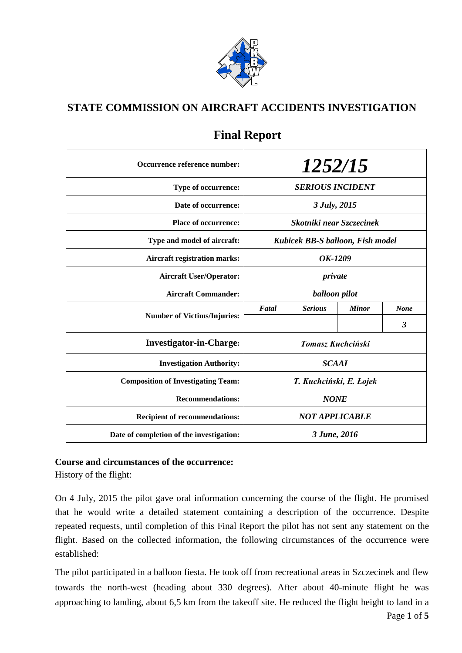

## **STATE COMMISSION ON AIRCRAFT ACCIDENTS INVESTIGATION**

| Occurrence reference number:              |                                  | 1252/15           |              |             |
|-------------------------------------------|----------------------------------|-------------------|--------------|-------------|
| Type of occurrence:                       | <b>SERIOUS INCIDENT</b>          |                   |              |             |
| Date of occurrence:                       | 3 July, 2015                     |                   |              |             |
| <b>Place of occurrence:</b>               | Skotniki near Szczecinek         |                   |              |             |
| Type and model of aircraft:               | Kubicek BB-S balloon, Fish model |                   |              |             |
| <b>Aircraft registration marks:</b>       | OK-1209                          |                   |              |             |
| <b>Aircraft User/Operator:</b>            | private                          |                   |              |             |
| <b>Aircraft Commander:</b>                | balloon pilot                    |                   |              |             |
| <b>Number of Victims/Injuries:</b>        | Fatal                            | <b>Serious</b>    | <b>Minor</b> | <b>None</b> |
|                                           |                                  |                   |              | 3           |
| <b>Investigator-in-Charge:</b>            |                                  | Tomasz Kuchciński |              |             |
| <b>Investigation Authority:</b>           | <b>SCAAI</b>                     |                   |              |             |
| <b>Composition of Investigating Team:</b> | T. Kuchciński, E. Łojek          |                   |              |             |
| <b>Recommendations:</b>                   | <b>NONE</b>                      |                   |              |             |
| <b>Recipient of recommendations:</b>      | <b>NOT APPLICABLE</b>            |                   |              |             |
| Date of completion of the investigation:  | 3 June, 2016                     |                   |              |             |

# **Final Report**

# **Course and circumstances of the occurrence:**

History of the flight:

On 4 July, 2015 the pilot gave oral information concerning the course of the flight. He promised that he would write a detailed statement containing a description of the occurrence. Despite repeated requests, until completion of this Final Report the pilot has not sent any statement on the flight. Based on the collected information, the following circumstances of the occurrence were established:

The pilot participated in a balloon fiesta. He took off from recreational areas in Szczecinek and flew towards the north-west (heading about 330 degrees). After about 40-minute flight he was approaching to landing, about 6,5 km from the takeoff site. He reduced the flight height to land in a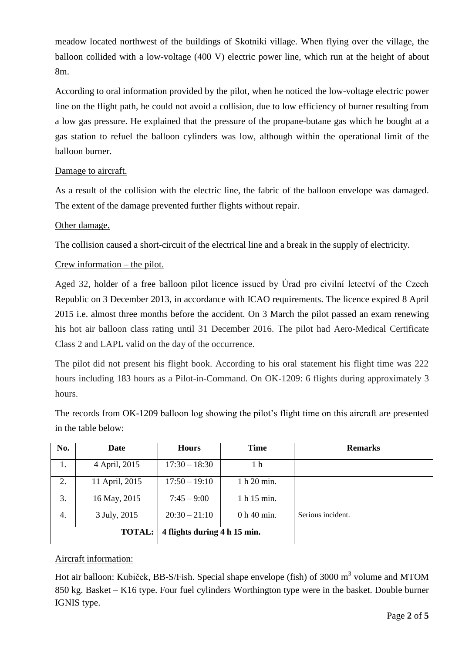meadow located northwest of the buildings of Skotniki village. When flying over the village, the balloon collided with a low-voltage (400 V) electric power line, which run at the height of about 8m.

According to oral information provided by the pilot, when he noticed the low-voltage electric power line on the flight path, he could not avoid a collision, due to low efficiency of burner resulting from a low gas pressure. He explained that the pressure of the propane-butane gas which he bought at a gas station to refuel the balloon cylinders was low, although within the operational limit of the balloon burner.

### Damage to aircraft.

As a result of the collision with the electric line, the fabric of the balloon envelope was damaged. The extent of the damage prevented further flights without repair.

### Other damage.

The collision caused a short-circuit of the electrical line and a break in the supply of electricity.

#### Crew information – the pilot.

Aged 32, holder of a free balloon pilot licence issued by Úrad pro civilní letectví of the Czech Republic on 3 December 2013, in accordance with ICAO requirements. The licence expired 8 April 2015 i.e. almost three months before the accident. On 3 March the pilot passed an exam renewing his hot air balloon class rating until 31 December 2016. The pilot had Aero-Medical Certificate Class 2 and LAPL valid on the day of the occurrence.

The pilot did not present his flight book. According to his oral statement his flight time was 222 hours including 183 hours as a Pilot-in-Command. On OK-1209: 6 flights during approximately 3 hours.

The records from OK-1209 balloon log showing the pilot's flight time on this aircraft are presented in the table below:

| No. | Date                                          | <b>Hours</b>    | <b>Time</b> | <b>Remarks</b>    |
|-----|-----------------------------------------------|-----------------|-------------|-------------------|
| 1.  | 4 April, 2015                                 | $17:30 - 18:30$ | 1 h         |                   |
| 2.  | 11 April, 2015                                | $17:50 - 19:10$ | 1 h 20 min. |                   |
| 3.  | 16 May, 2015                                  | $7:45 - 9:00$   | 1 h 15 min. |                   |
| 4.  | 3 July, 2015                                  | $20:30 - 21:10$ | 0 h 40 min. | Serious incident. |
|     | 4 flights during 4 h 15 min.<br><b>TOTAL:</b> |                 |             |                   |

## Aircraft information:

Hot air balloon: Kubiček, BB-S/Fish. Special shape envelope (fish) of 3000 m<sup>3</sup> volume and MTOM 850 kg. Basket – K16 type. Four fuel cylinders Worthington type were in the basket. Double burner IGNIS type.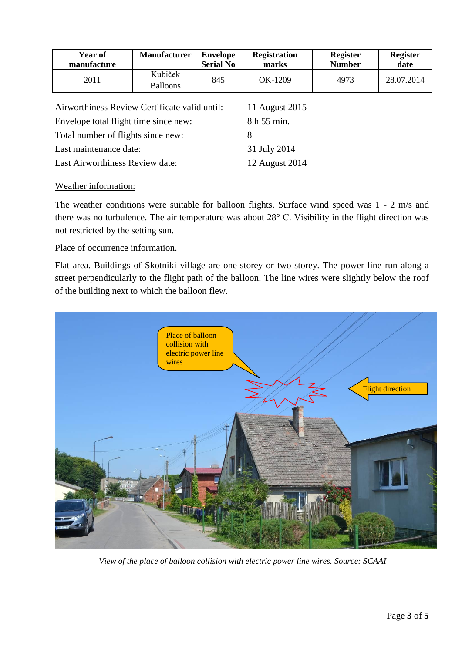| Year of<br>manufacture                                          | <b>Manufacturer</b>        | <b>Envelope</b><br><b>Serial No</b> | <b>Registration</b><br>marks | <b>Register</b><br><b>Number</b> | <b>Register</b><br>date |
|-----------------------------------------------------------------|----------------------------|-------------------------------------|------------------------------|----------------------------------|-------------------------|
| 2011                                                            | Kubiček<br><b>Balloons</b> | 845                                 | OK-1209                      | 4973                             | 28.07.2014              |
| Airworthiness Review Certificate valid until:<br>11 August 2015 |                            |                                     |                              |                                  |                         |

Envelope total flight time since new: 8 h 55 min. Total number of flights since new: 8 Last maintenance date: 31 July 2014 Last Airworthiness Review date: 12 August 2014

#### Weather information:

The weather conditions were suitable for balloon flights. Surface wind speed was 1 - 2 m/s and there was no turbulence. The air temperature was about 28° C. Visibility in the flight direction was not restricted by the setting sun.

#### Place of occurrence information.

Flat area. Buildings of Skotniki village are one-storey or two-storey. The power line run along a street perpendicularly to the flight path of the balloon. The line wires were slightly below the roof of the building next to which the balloon flew.



*View of the place of balloon collision with electric power line wires. Source: SCAAI*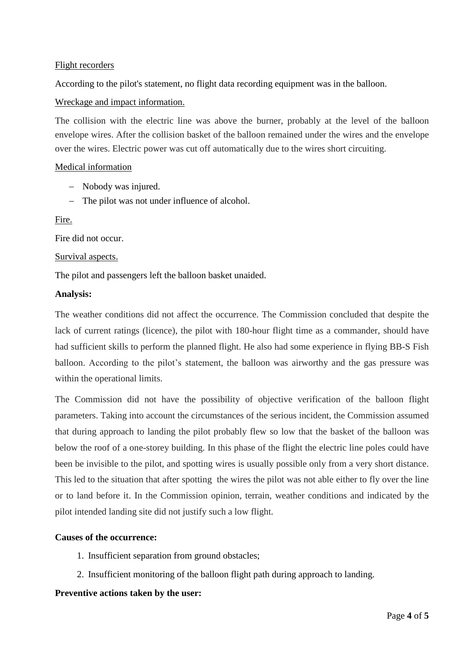#### Flight recorders

According to the pilot's statement, no flight data recording equipment was in the balloon.

#### Wreckage and impact information.

The collision with the electric line was above the burner, probably at the level of the balloon envelope wires. After the collision basket of the balloon remained under the wires and the envelope over the wires. Electric power was cut off automatically due to the wires short circuiting.

#### Medical information

- Nobody was injured.
- The pilot was not under influence of alcohol.

#### Fire.

Fire did not occur.

#### Survival aspects.

The pilot and passengers left the balloon basket unaided.

#### **Analysis:**

The weather conditions did not affect the occurrence. The Commission concluded that despite the lack of current ratings (licence), the pilot with 180-hour flight time as a commander, should have had sufficient skills to perform the planned flight. He also had some experience in flying BB-S Fish balloon. According to the pilot's statement, the balloon was airworthy and the gas pressure was within the operational limits.

The Commission did not have the possibility of objective verification of the balloon flight parameters. Taking into account the circumstances of the serious incident, the Commission assumed that during approach to landing the pilot probably flew so low that the basket of the balloon was below the roof of a one-storey building. In this phase of the flight the electric line poles could have been be invisible to the pilot, and spotting wires is usually possible only from a very short distance. This led to the situation that after spotting the wires the pilot was not able either to fly over the line or to land before it. In the Commission opinion, terrain, weather conditions and indicated by the pilot intended landing site did not justify such a low flight.

#### **Causes of the occurrence:**

- 1. Insufficient separation from ground obstacles;
- 2. Insufficient monitoring of the balloon flight path during approach to landing.

#### **Preventive actions taken by the user:**